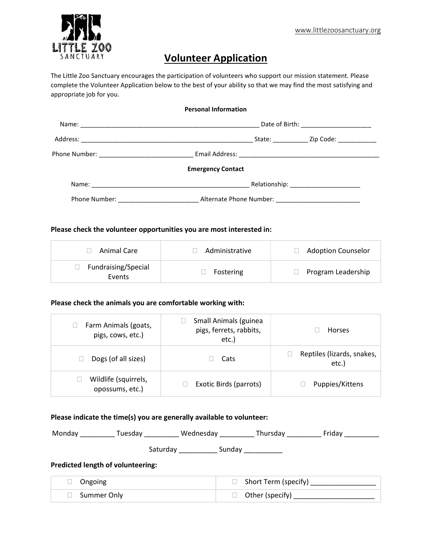

## Volunteer Application

The Little Zoo Sanctuary encourages the participation of volunteers who support our mission statement. Please complete the Volunteer Application below to the best of your ability so that we may find the most satisfying and appropriate job for you.

| <b>Personal Information</b> |                                               |  |  |
|-----------------------------|-----------------------------------------------|--|--|
|                             | Date of Birth: ________________________       |  |  |
|                             | State: <u>Zip Code:</u>                       |  |  |
|                             |                                               |  |  |
|                             | <b>Emergency Contact</b>                      |  |  |
|                             |                                               |  |  |
|                             | Phone Number: Natural Alternate Phone Number: |  |  |

## Please check the volunteer opportunities you are most interested in:

| Animal Care                   | Administrative | <b>Adoption Counselor</b> |
|-------------------------------|----------------|---------------------------|
| Fundraising/Special<br>Events | Fostering      | Program Leadership        |

## Please check the animals you are comfortable working with:

| Farm Animals (goats,<br>pigs, cows, etc.) | Small Animals (guinea<br>pigs, ferrets, rabbits,<br>etc.) | Horses                              |
|-------------------------------------------|-----------------------------------------------------------|-------------------------------------|
| Dogs (of all sizes)                       | Cats                                                      | Reptiles (lizards, snakes,<br>etc.) |
| Wildlife (squirrels,<br>opossums, etc.)   | Exotic Birds (parrots)                                    | Puppies/Kittens                     |

## Please indicate the time(s) you are generally available to volunteer:

| Monday<br>Tuesdav                        | Wednesday | Thursday | Fridav |  |
|------------------------------------------|-----------|----------|--------|--|
|                                          | Saturday  | Sunday   |        |  |
| <b>Predicted length of volunteering:</b> |           |          |        |  |

| $\Box$ Ongoing | $\Box$ Short Term (specify) |
|----------------|-----------------------------|
| □ Summer Only  | $\Box$ Other (specify)      |